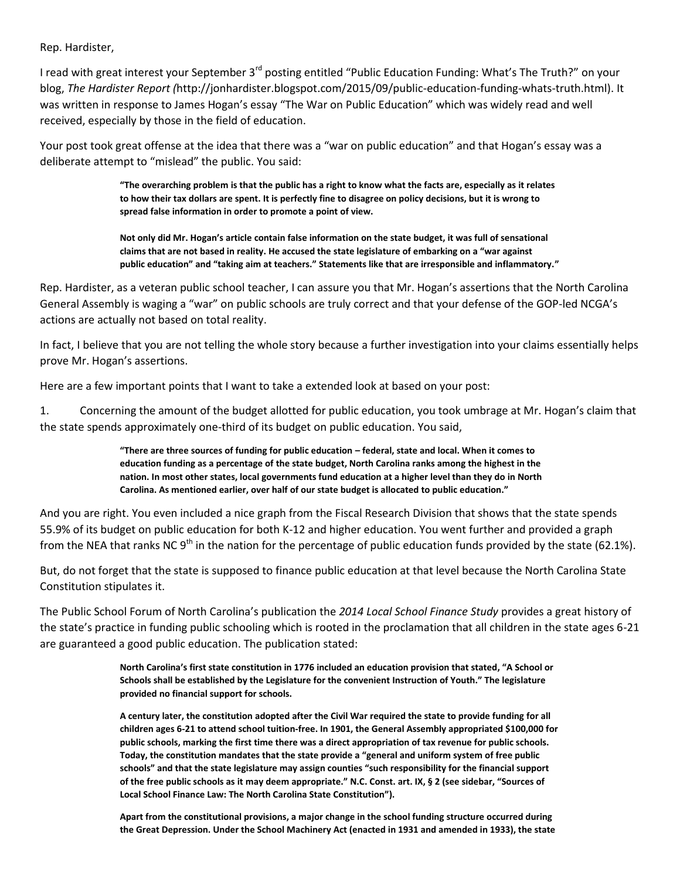Rep. Hardister,

I read with great interest your September 3<sup>rd</sup> posting entitled "Public Education Funding: What's The Truth?" on your blog, *The Hardister Report (*http://jonhardister.blogspot.com/2015/09/public-education-funding-whats-truth.html). It was written in response to James Hogan's essay "The War on Public Education" which was widely read and well received, especially by those in the field of education.

Your post took great offense at the idea that there was a "war on public education" and that Hogan's essay was a deliberate attempt to "mislead" the public. You said:

> **"The overarching problem is that the public has a right to know what the facts are, especially as it relates to how their tax dollars are spent. It is perfectly fine to disagree on policy decisions, but it is wrong to spread false information in order to promote a point of view.**

> **Not only did Mr. Hogan's article contain false information on the state budget, it was full of sensational claims that are not based in reality. He accused the state legislature of embarking on a "war against public education" and "taking aim at teachers." Statements like that are irresponsible and inflammatory."**

Rep. Hardister, as a veteran public school teacher, I can assure you that Mr. Hogan's assertions that the North Carolina General Assembly is waging a "war" on public schools are truly correct and that your defense of the GOP-led NCGA's actions are actually not based on total reality.

In fact, I believe that you are not telling the whole story because a further investigation into your claims essentially helps prove Mr. Hogan's assertions.

Here are a few important points that I want to take a extended look at based on your post:

1. Concerning the amount of the budget allotted for public education, you took umbrage at Mr. Hogan's claim that the state spends approximately one-third of its budget on public education. You said,

> **"There are three sources of funding for public education – federal, state and local. When it comes to education funding as a percentage of the state budget, North Carolina ranks among the highest in the nation. In most other states, local governments fund education at a higher level than they do in North Carolina. As mentioned earlier, over half of our state budget is allocated to public education."**

And you are right. You even included a nice graph from the Fiscal Research Division that shows that the state spends 55.9% of its budget on public education for both K-12 and higher education. You went further and provided a graph from the NEA that ranks NC 9<sup>th</sup> in the nation for the percentage of public education funds provided by the state (62.1%).

But, do not forget that the state is supposed to finance public education at that level because the North Carolina State Constitution stipulates it.

The Public School Forum of North Carolina's publication the *2014 Local School Finance Study* provides a great history of the state's practice in funding public schooling which is rooted in the proclamation that all children in the state ages 6-21 are guaranteed a good public education. The publication stated:

> **North Carolina's first state constitution in 1776 included an education provision that stated, "A School or Schools shall be established by the Legislature for the convenient Instruction of Youth." The legislature provided no financial support for schools.**

> **A century later, the constitution adopted after the Civil War required the state to provide funding for all children ages 6-21 to attend school tuition-free. In 1901, the General Assembly appropriated \$100,000 for public schools, marking the first time there was a direct appropriation of tax revenue for public schools. Today, the constitution mandates that the state provide a "general and uniform system of free public schools" and that the state legislature may assign counties "such responsibility for the financial support of the free public schools as it may deem appropriate." N.C. Const. art. IX, § 2 (see sidebar, "Sources of Local School Finance Law: The North Carolina State Constitution").**

> **Apart from the constitutional provisions, a major change in the school funding structure occurred during the Great Depression. Under the School Machinery Act (enacted in 1931 and amended in 1933), the state**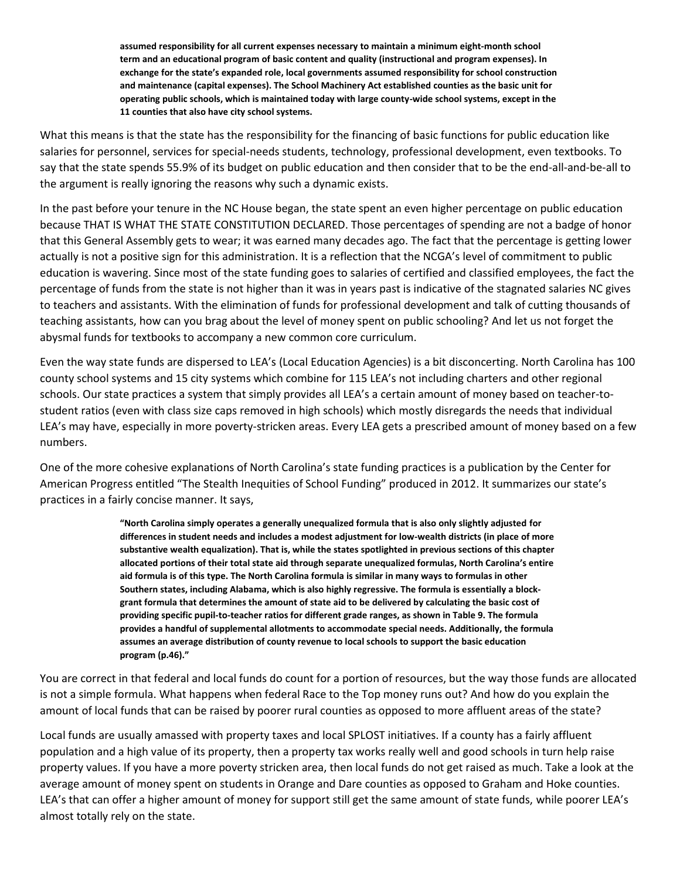**assumed responsibility for all current expenses necessary to maintain a minimum eight-month school term and an educational program of basic content and quality (instructional and program expenses). In exchange for the state's expanded role, local governments assumed responsibility for school construction and maintenance (capital expenses). The School Machinery Act established counties as the basic unit for operating public schools, which is maintained today with large county-wide school systems, except in the 11 counties that also have city school systems.**

What this means is that the state has the responsibility for the financing of basic functions for public education like salaries for personnel, services for special-needs students, technology, professional development, even textbooks. To say that the state spends 55.9% of its budget on public education and then consider that to be the end-all-and-be-all to the argument is really ignoring the reasons why such a dynamic exists.

In the past before your tenure in the NC House began, the state spent an even higher percentage on public education because THAT IS WHAT THE STATE CONSTITUTION DECLARED. Those percentages of spending are not a badge of honor that this General Assembly gets to wear; it was earned many decades ago. The fact that the percentage is getting lower actually is not a positive sign for this administration. It is a reflection that the NCGA's level of commitment to public education is wavering. Since most of the state funding goes to salaries of certified and classified employees, the fact the percentage of funds from the state is not higher than it was in years past is indicative of the stagnated salaries NC gives to teachers and assistants. With the elimination of funds for professional development and talk of cutting thousands of teaching assistants, how can you brag about the level of money spent on public schooling? And let us not forget the abysmal funds for textbooks to accompany a new common core curriculum.

Even the way state funds are dispersed to LEA's (Local Education Agencies) is a bit disconcerting. North Carolina has 100 county school systems and 15 city systems which combine for 115 LEA's not including charters and other regional schools. Our state practices a system that simply provides all LEA's a certain amount of money based on teacher-tostudent ratios (even with class size caps removed in high schools) which mostly disregards the needs that individual LEA's may have, especially in more poverty-stricken areas. Every LEA gets a prescribed amount of money based on a few numbers.

One of the more cohesive explanations of North Carolina's state funding practices is a publication by the Center for American Progress entitled "The Stealth Inequities of School Funding" produced in 2012. It summarizes our state's practices in a fairly concise manner. It says,

> **"North Carolina simply operates a generally unequalized formula that is also only slightly adjusted for differences in student needs and includes a modest adjustment for low-wealth districts (in place of more substantive wealth equalization). That is, while the states spotlighted in previous sections of this chapter allocated portions of their total state aid through separate unequalized formulas, North Carolina's entire aid formula is of this type. The North Carolina formula is similar in many ways to formulas in other Southern states, including Alabama, which is also highly regressive. The formula is essentially a blockgrant formula that determines the amount of state aid to be delivered by calculating the basic cost of providing specific pupil-to-teacher ratios for different grade ranges, as shown in Table 9. The formula provides a handful of supplemental allotments to accommodate special needs. Additionally, the formula assumes an average distribution of county revenue to local schools to support the basic education program (p.46)."**

You are correct in that federal and local funds do count for a portion of resources, but the way those funds are allocated is not a simple formula. What happens when federal Race to the Top money runs out? And how do you explain the amount of local funds that can be raised by poorer rural counties as opposed to more affluent areas of the state?

Local funds are usually amassed with property taxes and local SPLOST initiatives. If a county has a fairly affluent population and a high value of its property, then a property tax works really well and good schools in turn help raise property values. If you have a more poverty stricken area, then local funds do not get raised as much. Take a look at the average amount of money spent on students in Orange and Dare counties as opposed to Graham and Hoke counties. LEA's that can offer a higher amount of money for support still get the same amount of state funds, while poorer LEA's almost totally rely on the state.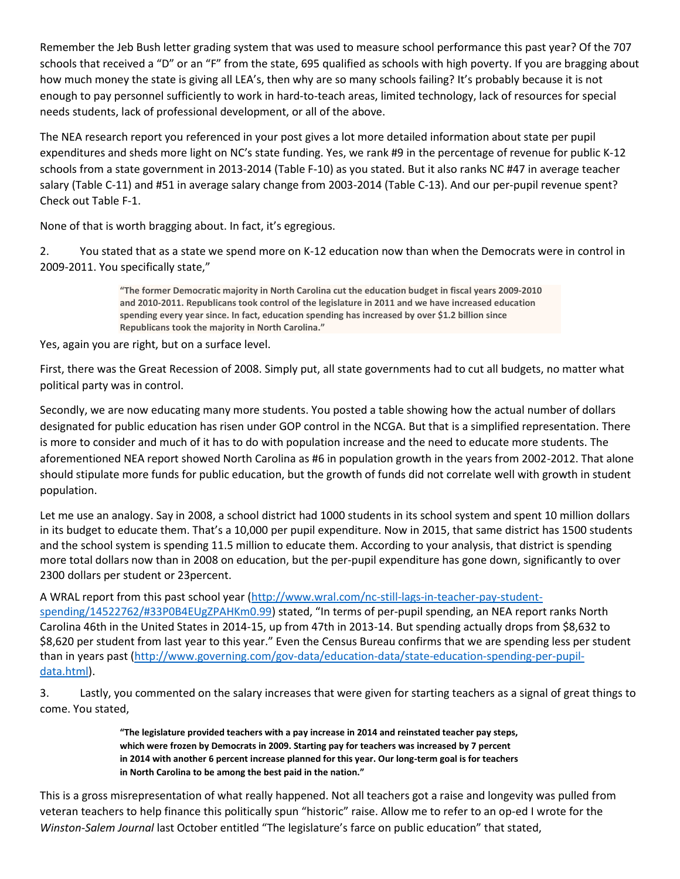Remember the Jeb Bush letter grading system that was used to measure school performance this past year? Of the 707 schools that received a "D" or an "F" from the state, 695 qualified as schools with high poverty. If you are bragging about how much money the state is giving all LEA's, then why are so many schools failing? It's probably because it is not enough to pay personnel sufficiently to work in hard-to-teach areas, limited technology, lack of resources for special needs students, lack of professional development, or all of the above.

The NEA research report you referenced in your post gives a lot more detailed information about state per pupil expenditures and sheds more light on NC's state funding. Yes, we rank #9 in the percentage of revenue for public K-12 schools from a state government in 2013-2014 (Table F-10) as you stated. But it also ranks NC #47 in average teacher salary (Table C-11) and #51 in average salary change from 2003-2014 (Table C-13). And our per-pupil revenue spent? Check out Table F-1.

None of that is worth bragging about. In fact, it's egregious.

2. You stated that as a state we spend more on K-12 education now than when the Democrats were in control in 2009-2011. You specifically state,"

> **"The former Democratic majority in North Carolina cut the education budget in fiscal years 2009-2010 and 2010-2011. Republicans took control of the legislature in 2011 and we have increased education spending every year since. In fact, education spending has increased by over \$1.2 billion since Republicans took the majority in North Carolina."**

## Yes, again you are right, but on a surface level.

First, there was the Great Recession of 2008. Simply put, all state governments had to cut all budgets, no matter what political party was in control.

Secondly, we are now educating many more students. You posted a table showing how the actual number of dollars designated for public education has risen under GOP control in the NCGA. But that is a simplified representation. There is more to consider and much of it has to do with population increase and the need to educate more students. The aforementioned NEA report showed North Carolina as #6 in population growth in the years from 2002-2012. That alone should stipulate more funds for public education, but the growth of funds did not correlate well with growth in student population.

Let me use an analogy. Say in 2008, a school district had 1000 students in its school system and spent 10 million dollars in its budget to educate them. That's a 10,000 per pupil expenditure. Now in 2015, that same district has 1500 students and the school system is spending 11.5 million to educate them. According to your analysis, that district is spending more total dollars now than in 2008 on education, but the per-pupil expenditure has gone down, significantly to over 2300 dollars per student or 23percent.

A WRAL report from this past school year [\(http://www.wral.com/nc-still-lags-in-teacher-pay-student](http://www.wral.com/nc-still-lags-in-teacher-pay-student-spending/14522762/#33P0B4EUgZPAHKm0.99)[spending/14522762/#33P0B4EUgZPAHKm0.99](http://www.wral.com/nc-still-lags-in-teacher-pay-student-spending/14522762/#33P0B4EUgZPAHKm0.99)) stated, "In terms of per-pupil spending, an NEA report ranks North Carolina 46th in the United States in 2014-15, up from 47th in 2013-14. But spending actually drops from \$8,632 to \$8,620 per student from last year to this year." Even the Census Bureau confirms that we are spending less per student than in years past [\(http://www.governing.com/gov-data/education-data/state-education-spending-per-pupil](http://www.governing.com/gov-data/education-data/state-education-spending-per-pupil-data.html)[data.html\)](http://www.governing.com/gov-data/education-data/state-education-spending-per-pupil-data.html).

3. Lastly, you commented on the salary increases that were given for starting teachers as a signal of great things to come. You stated,

> **"The legislature provided teachers with a pay increase in 2014 and reinstated teacher pay steps, which were frozen by Democrats in 2009. Starting pay for teachers was increased by 7 percent in 2014 with another 6 percent increase planned for this year. Our long-term goal is for teachers in North Carolina to be among the best paid in the nation."**

This is a gross misrepresentation of what really happened. Not all teachers got a raise and longevity was pulled from veteran teachers to help finance this politically spun "historic" raise. Allow me to refer to an op-ed I wrote for the *Winston-Salem Journal* last October entitled "The legislature's farce on public education" that stated,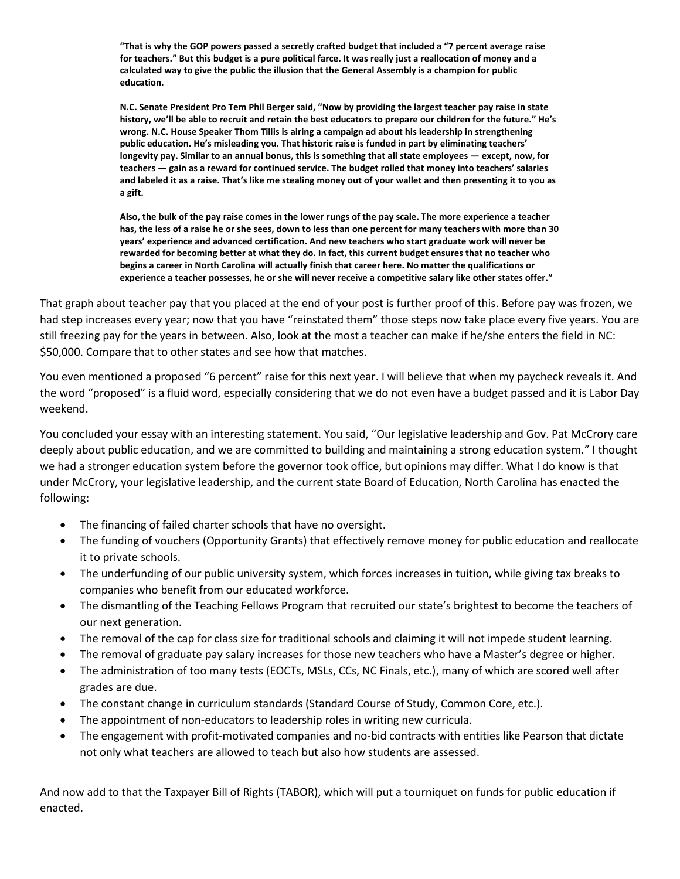**"That is why the GOP powers passed a secretly crafted budget that included a "7 percent average raise for teachers." But this budget is a pure political farce. It was really just a reallocation of money and a calculated way to give the public the illusion that the General Assembly is a champion for public education.**

**N.C. Senate President Pro Tem Phil Berger said, "Now by providing the largest teacher pay raise in state history, we'll be able to recruit and retain the best educators to prepare our children for the future." He's wrong. N.C. House Speaker Thom Tillis is airing a campaign ad about his leadership in strengthening public education. He's misleading you. That historic raise is funded in part by eliminating teachers' longevity pay. Similar to an annual bonus, this is something that all state employees — except, now, for teachers — gain as a reward for continued service. The budget rolled that money into teachers' salaries and labeled it as a raise. That's like me stealing money out of your wallet and then presenting it to you as a gift.**

**Also, the bulk of the pay raise comes in the lower rungs of the pay scale. The more experience a teacher has, the less of a raise he or she sees, down to less than one percent for many teachers with more than 30 years' experience and advanced certification. And new teachers who start graduate work will never be rewarded for becoming better at what they do. In fact, this current budget ensures that no teacher who begins a career in North Carolina will actually finish that career here. No matter the qualifications or experience a teacher possesses, he or she will never receive a competitive salary like other states offer."**

That graph about teacher pay that you placed at the end of your post is further proof of this. Before pay was frozen, we had step increases every year; now that you have "reinstated them" those steps now take place every five years. You are still freezing pay for the years in between. Also, look at the most a teacher can make if he/she enters the field in NC: \$50,000. Compare that to other states and see how that matches.

You even mentioned a proposed "6 percent" raise for this next year. I will believe that when my paycheck reveals it. And the word "proposed" is a fluid word, especially considering that we do not even have a budget passed and it is Labor Day weekend.

You concluded your essay with an interesting statement. You said, "Our legislative leadership and Gov. Pat McCrory care deeply about public education, and we are committed to building and maintaining a strong education system." I thought we had a stronger education system before the governor took office, but opinions may differ. What I do know is that under McCrory, your legislative leadership, and the current state Board of Education, North Carolina has enacted the following:

- The financing of failed charter schools that have no oversight.
- The funding of vouchers (Opportunity Grants) that effectively remove money for public education and reallocate it to private schools.
- The underfunding of our public university system, which forces increases in tuition, while giving tax breaks to companies who benefit from our educated workforce.
- The dismantling of the Teaching Fellows Program that recruited our state's brightest to become the teachers of our next generation.
- The removal of the cap for class size for traditional schools and claiming it will not impede student learning.
- The removal of graduate pay salary increases for those new teachers who have a Master's degree or higher.
- The administration of too many tests (EOCTs, MSLs, CCs, NC Finals, etc.), many of which are scored well after grades are due.
- The constant change in curriculum standards (Standard Course of Study, Common Core, etc.).
- The appointment of non-educators to leadership roles in writing new curricula.
- The engagement with profit-motivated companies and no-bid contracts with entities like Pearson that dictate not only what teachers are allowed to teach but also how students are assessed.

And now add to that the Taxpayer Bill of Rights (TABOR), which will put a tourniquet on funds for public education if enacted.